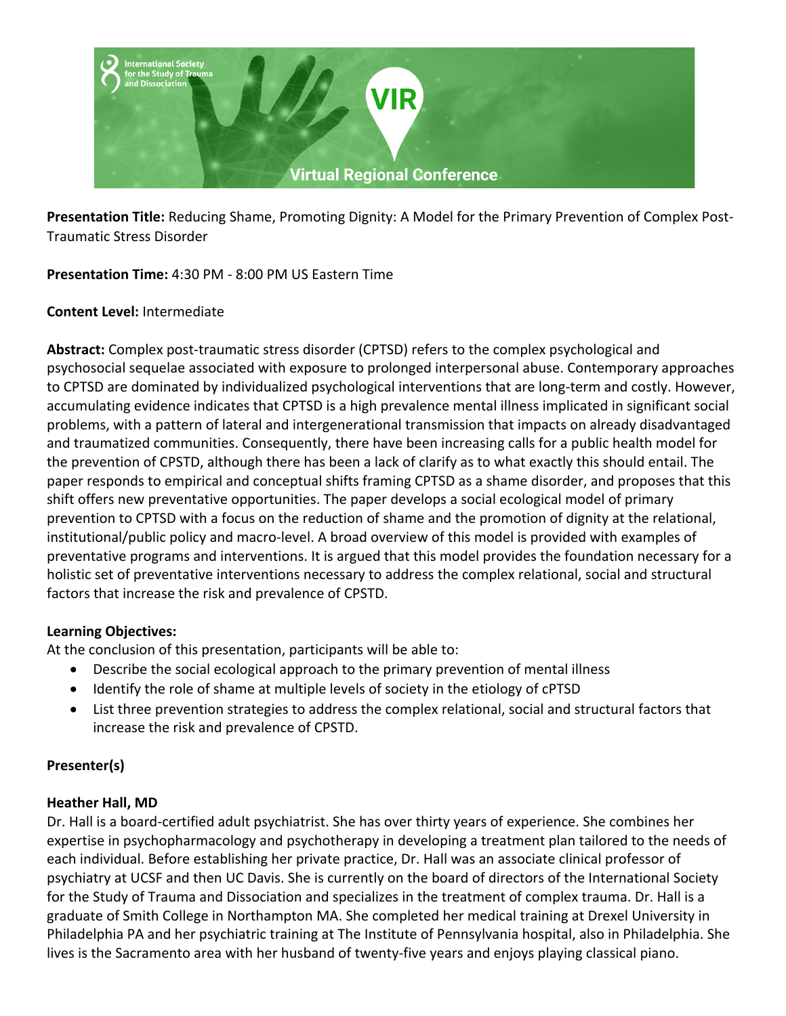

**Presentation Title:** Reducing Shame, Promoting Dignity: A Model for the Primary Prevention of Complex Post-Traumatic Stress Disorder

**Presentation Time:** 4:30 PM - 8:00 PM US Eastern Time

## **Content Level:** Intermediate

**Abstract:** Complex post-traumatic stress disorder (CPTSD) refers to the complex psychological and psychosocial sequelae associated with exposure to prolonged interpersonal abuse. Contemporary approaches to CPTSD are dominated by individualized psychological interventions that are long-term and costly. However, accumulating evidence indicates that CPTSD is a high prevalence mental illness implicated in significant social problems, with a pattern of lateral and intergenerational transmission that impacts on already disadvantaged and traumatized communities. Consequently, there have been increasing calls for a public health model for the prevention of CPSTD, although there has been a lack of clarify as to what exactly this should entail. The paper responds to empirical and conceptual shifts framing CPTSD as a shame disorder, and proposes that this shift offers new preventative opportunities. The paper develops a social ecological model of primary prevention to CPTSD with a focus on the reduction of shame and the promotion of dignity at the relational, institutional/public policy and macro-level. A broad overview of this model is provided with examples of preventative programs and interventions. It is argued that this model provides the foundation necessary for a holistic set of preventative interventions necessary to address the complex relational, social and structural factors that increase the risk and prevalence of CPSTD.

## **Learning Objectives:**

At the conclusion of this presentation, participants will be able to:

- Describe the social ecological approach to the primary prevention of mental illness
- Identify the role of shame at multiple levels of society in the etiology of cPTSD
- List three prevention strategies to address the complex relational, social and structural factors that increase the risk and prevalence of CPSTD.

# **Presenter(s)**

## **Heather Hall, MD**

Dr. Hall is a board-certified adult psychiatrist. She has over thirty years of experience. She combines her expertise in psychopharmacology and psychotherapy in developing a treatment plan tailored to the needs of each individual. Before establishing her private practice, Dr. Hall was an associate clinical professor of psychiatry at UCSF and then UC Davis. She is currently on the board of directors of the International Society for the Study of Trauma and Dissociation and specializes in the treatment of complex trauma. Dr. Hall is a graduate of Smith College in Northampton MA. She completed her medical training at Drexel University in Philadelphia PA and her psychiatric training at The Institute of Pennsylvania hospital, also in Philadelphia. She lives is the Sacramento area with her husband of twenty-five years and enjoys playing classical piano.